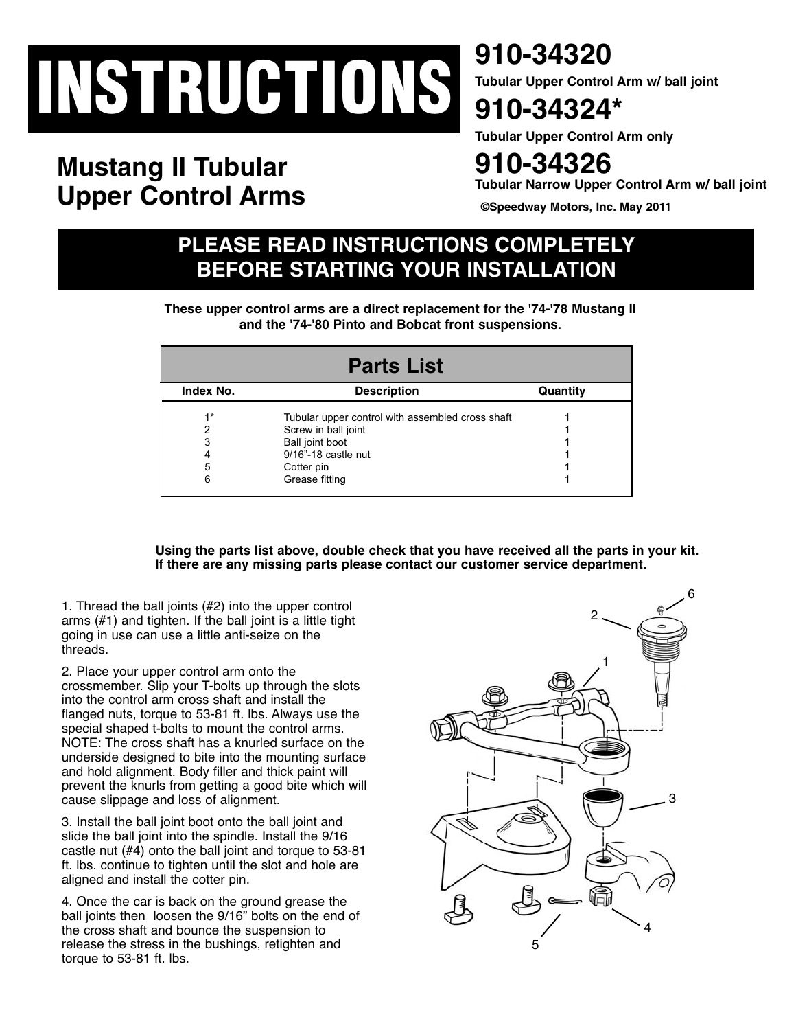# **INSTRUCTIONS**

# **Mustang II Tubular Upper Control Arms**

**910-34320**

**Tubular Upper Control Arm w/ ball joint**

## **910-34324\***

**Tubular Upper Control Arm only**

## **910-34326**

**Tubular Narrow Upper Control Arm w/ ball joint**

**©Speedway Motors, Inc. May 2011**

## **PLEASE READ INSTRUCTIONS COMPLETELY BEFORE STARTING YOUR INSTALLATION**

**These upper control arms are a direct replacement for the '74-'78 Mustang II and the '74-'80 Pinto and Bobcat front suspensions.**

| <b>Parts List</b> |                                                  |          |
|-------------------|--------------------------------------------------|----------|
| Index No.         | <b>Description</b>                               | Quantity |
| $1*$              | Tubular upper control with assembled cross shaft |          |
| 2                 | Screw in ball joint                              |          |
| 3                 | Ball joint boot                                  |          |
| 4                 | 9/16"-18 castle nut                              |          |
| 5                 | Cotter pin                                       |          |
| 6                 | Grease fitting                                   |          |

**Using the parts list above, double check that you have received all the parts in your kit. If there are any missing parts please contact our customer service department.** 

1. Thread the ball joints (#2) into the upper control arms (#1) and tighten. If the ball joint is a little tight going in use can use a little anti-seize on the threads.

2. Place your upper control arm onto the crossmember. Slip your T-bolts up through the slots into the control arm cross shaft and install the flanged nuts, torque to 53-81 ft. lbs. Always use the special shaped t-bolts to mount the control arms. NOTE: The cross shaft has a knurled surface on the underside designed to bite into the mounting surface and hold alignment. Body filler and thick paint will prevent the knurls from getting a good bite which will cause slippage and loss of alignment.

3. Install the ball joint boot onto the ball joint and slide the ball joint into the spindle. Install the 9/16 castle nut (#4) onto the ball joint and torque to 53-81 ft. lbs. continue to tighten until the slot and hole are aligned and install the cotter pin.

4. Once the car is back on the ground grease the ball joints then loosen the 9/16" bolts on the end of the cross shaft and bounce the suspension to release the stress in the bushings, retighten and torque to 53-81 ft. lbs.